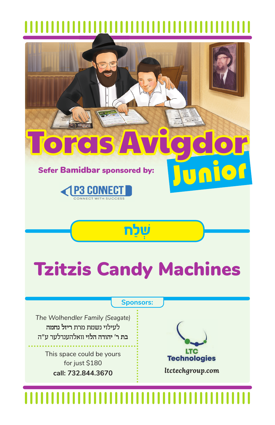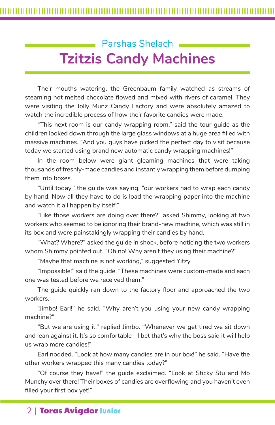# Parshas Shelach . **Tzitzis Candy Machines**

Their mouths watering, the Greenbaum family watched as streams of steaming hot melted chocolate flowed and mixed with rivers of caramel. They were visiting the Jolly Munz Candy Factory and were absolutely amazed to watch the incredible process of how their favorite candies were made.

"This next room is our candy wrapping room," said the tour guide as the children looked down through the large glass windows at a huge area filled with massive machines. "And you guys have picked the perfect day to visit because today we started using brand new automatic candy wrapping machines!"

In the room below were giant gleaming machines that were taking thousands of freshly-made candies and instantly wrapping them before dumping them into boxes.

"Until today," the guide was saying, "our workers had to wrap each candy by hand. Now all they have to do is load the wrapping paper into the machine and watch it all happen by itself!"

"Like those workers are doing over there?" asked Shimmy, looking at two workers who seemed to be ignoring their brand-new machine, which was still in its box and were painstakingly wrapping their candies by hand.

"What? Where?" asked the guide in shock, before noticing the two workers whom Shimmy pointed out. "Oh no! Why aren't they using their machine?"

"Maybe that machine is not working," suggested Yitzy.

"Impossible!" said the guide. "These machines were custom-made and each one was tested before we received them!"

The guide quickly ran down to the factory floor and approached the two workers.

"Jimbo! Earl!" he said. "Why aren't you using your new candy wrapping machine?"

"But we are using it," replied Jimbo. "Whenever we get tired we sit down and lean against it. It's so comfortable - I bet that's why the boss said it will help us wrap more candies!"

Earl nodded. "Look at how many candies are in our box!" he said. "Have the other workers wrapped this many candies today?"

"Of course they have!" the guide exclaimed. "Look at Sticky Stu and Mo Munchy over there! Their boxes of candies are overflowing and you haven't even filled your first box yet!"

# 2 | Toras Avigdor Junior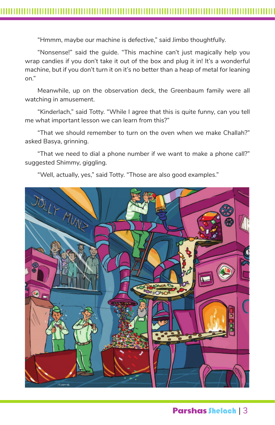"Hmmm, maybe our machine is defective," said Jimbo thoughtfully.

"Nonsense!" said the guide. "This machine can't just magically help you wrap candies if you don't take it out of the box and plug it in! It's a wonderful machine, but if you don't turn it on it's no better than a heap of metal for leaning on."

Meanwhile, up on the observation deck, the Greenbaum family were all watching in amusement.

"Kinderlach," said Totty. "While I agree that this is quite funny, can you tell me what important lesson we can learn from this?"

"That we should remember to turn on the oven when we make Challah?" asked Basya, grinning.

"That we need to dial a phone number if we want to make a phone call?" suggested Shimmy, giggling.

"Well, actually, yes," said Totty. "Those are also good examples."